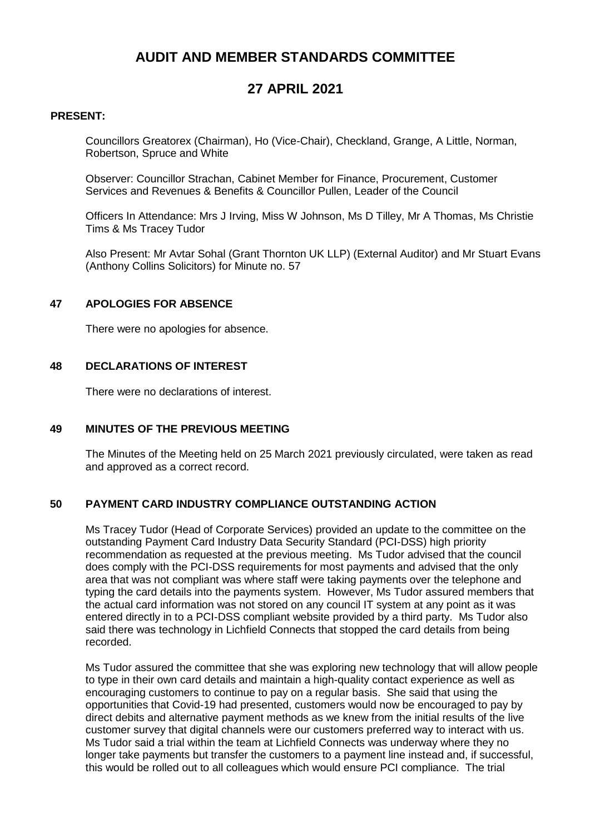# **AUDIT AND MEMBER STANDARDS COMMITTEE**

# **27 APRIL 2021**

### **PRESENT:**

Councillors Greatorex (Chairman), Ho (Vice-Chair), Checkland, Grange, A Little, Norman, Robertson, Spruce and White

Observer: Councillor Strachan, Cabinet Member for Finance, Procurement, Customer Services and Revenues & Benefits & Councillor Pullen, Leader of the Council

Officers In Attendance: Mrs J Irving, Miss W Johnson, Ms D Tilley, Mr A Thomas, Ms Christie Tims & Ms Tracey Tudor

Also Present: Mr Avtar Sohal (Grant Thornton UK LLP) (External Auditor) and Mr Stuart Evans (Anthony Collins Solicitors) for Minute no. 57

#### **47 APOLOGIES FOR ABSENCE**

There were no apologies for absence.

#### **48 DECLARATIONS OF INTEREST**

There were no declarations of interest.

#### **49 MINUTES OF THE PREVIOUS MEETING**

The Minutes of the Meeting held on 25 March 2021 previously circulated, were taken as read and approved as a correct record.

## **50 PAYMENT CARD INDUSTRY COMPLIANCE OUTSTANDING ACTION**

Ms Tracey Tudor (Head of Corporate Services) provided an update to the committee on the outstanding Payment Card Industry Data Security Standard (PCI-DSS) high priority recommendation as requested at the previous meeting. Ms Tudor advised that the council does comply with the PCI-DSS requirements for most payments and advised that the only area that was not compliant was where staff were taking payments over the telephone and typing the card details into the payments system. However, Ms Tudor assured members that the actual card information was not stored on any council IT system at any point as it was entered directly in to a PCI-DSS compliant website provided by a third party. Ms Tudor also said there was technology in Lichfield Connects that stopped the card details from being recorded.

Ms Tudor assured the committee that she was exploring new technology that will allow people to type in their own card details and maintain a high-quality contact experience as well as encouraging customers to continue to pay on a regular basis. She said that using the opportunities that Covid-19 had presented, customers would now be encouraged to pay by direct debits and alternative payment methods as we knew from the initial results of the live customer survey that digital channels were our customers preferred way to interact with us. Ms Tudor said a trial within the team at Lichfield Connects was underway where they no longer take payments but transfer the customers to a payment line instead and, if successful, this would be rolled out to all colleagues which would ensure PCI compliance. The trial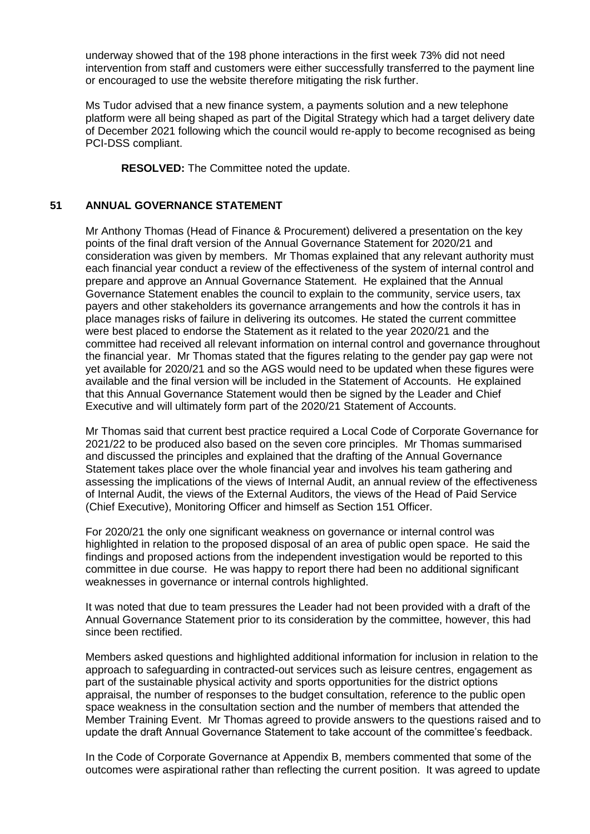underway showed that of the 198 phone interactions in the first week 73% did not need intervention from staff and customers were either successfully transferred to the payment line or encouraged to use the website therefore mitigating the risk further.

Ms Tudor advised that a new finance system, a payments solution and a new telephone platform were all being shaped as part of the Digital Strategy which had a target delivery date of December 2021 following which the council would re-apply to become recognised as being PCI-DSS compliant.

**RESOLVED:** The Committee noted the update.

### **51 ANNUAL GOVERNANCE STATEMENT**

Mr Anthony Thomas (Head of Finance & Procurement) delivered a presentation on the key points of the final draft version of the Annual Governance Statement for 2020/21 and consideration was given by members. Mr Thomas explained that any relevant authority must each financial year conduct a review of the effectiveness of the system of internal control and prepare and approve an Annual Governance Statement. He explained that the Annual Governance Statement enables the council to explain to the community, service users, tax payers and other stakeholders its governance arrangements and how the controls it has in place manages risks of failure in delivering its outcomes. He stated the current committee were best placed to endorse the Statement as it related to the year 2020/21 and the committee had received all relevant information on internal control and governance throughout the financial year. Mr Thomas stated that the figures relating to the gender pay gap were not yet available for 2020/21 and so the AGS would need to be updated when these figures were available and the final version will be included in the Statement of Accounts. He explained that this Annual Governance Statement would then be signed by the Leader and Chief Executive and will ultimately form part of the 2020/21 Statement of Accounts.

Mr Thomas said that current best practice required a Local Code of Corporate Governance for 2021/22 to be produced also based on the seven core principles. Mr Thomas summarised and discussed the principles and explained that the drafting of the Annual Governance Statement takes place over the whole financial year and involves his team gathering and assessing the implications of the views of Internal Audit, an annual review of the effectiveness of Internal Audit, the views of the External Auditors, the views of the Head of Paid Service (Chief Executive), Monitoring Officer and himself as Section 151 Officer.

For 2020/21 the only one significant weakness on governance or internal control was highlighted in relation to the proposed disposal of an area of public open space. He said the findings and proposed actions from the independent investigation would be reported to this committee in due course. He was happy to report there had been no additional significant weaknesses in governance or internal controls highlighted.

It was noted that due to team pressures the Leader had not been provided with a draft of the Annual Governance Statement prior to its consideration by the committee, however, this had since been rectified.

Members asked questions and highlighted additional information for inclusion in relation to the approach to safeguarding in contracted-out services such as leisure centres, engagement as part of the sustainable physical activity and sports opportunities for the district options appraisal, the number of responses to the budget consultation, reference to the public open space weakness in the consultation section and the number of members that attended the Member Training Event. Mr Thomas agreed to provide answers to the questions raised and to update the draft Annual Governance Statement to take account of the committee's feedback.

In the Code of Corporate Governance at Appendix B, members commented that some of the outcomes were aspirational rather than reflecting the current position. It was agreed to update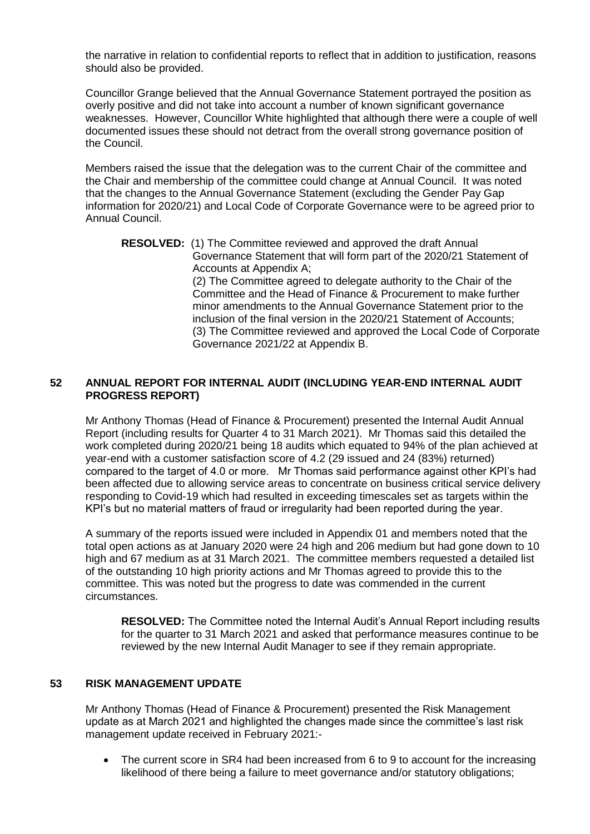the narrative in relation to confidential reports to reflect that in addition to justification, reasons should also be provided.

Councillor Grange believed that the Annual Governance Statement portrayed the position as overly positive and did not take into account a number of known significant governance weaknesses. However, Councillor White highlighted that although there were a couple of well documented issues these should not detract from the overall strong governance position of the Council.

Members raised the issue that the delegation was to the current Chair of the committee and the Chair and membership of the committee could change at Annual Council. It was noted that the changes to the Annual Governance Statement (excluding the Gender Pay Gap information for 2020/21) and Local Code of Corporate Governance were to be agreed prior to Annual Council.

**RESOLVED:** (1) The Committee reviewed and approved the draft Annual Governance Statement that will form part of the 2020/21 Statement of Accounts at Appendix A; (2) The Committee agreed to delegate authority to the Chair of the Committee and the Head of Finance & Procurement to make further minor amendments to the Annual Governance Statement prior to the inclusion of the final version in the 2020/21 Statement of Accounts; (3) The Committee reviewed and approved the Local Code of Corporate Governance 2021/22 at Appendix B.

## **52 ANNUAL REPORT FOR INTERNAL AUDIT (INCLUDING YEAR-END INTERNAL AUDIT PROGRESS REPORT)**

Mr Anthony Thomas (Head of Finance & Procurement) presented the Internal Audit Annual Report (including results for Quarter 4 to 31 March 2021). Mr Thomas said this detailed the work completed during 2020/21 being 18 audits which equated to 94% of the plan achieved at year-end with a customer satisfaction score of 4.2 (29 issued and 24 (83%) returned) compared to the target of 4.0 or more. Mr Thomas said performance against other KPI's had been affected due to allowing service areas to concentrate on business critical service delivery responding to Covid-19 which had resulted in exceeding timescales set as targets within the KPI's but no material matters of fraud or irregularity had been reported during the year.

A summary of the reports issued were included in Appendix 01 and members noted that the total open actions as at January 2020 were 24 high and 206 medium but had gone down to 10 high and 67 medium as at 31 March 2021. The committee members requested a detailed list of the outstanding 10 high priority actions and Mr Thomas agreed to provide this to the committee. This was noted but the progress to date was commended in the current circumstances.

**RESOLVED:** The Committee noted the Internal Audit's Annual Report including results for the quarter to 31 March 2021 and asked that performance measures continue to be reviewed by the new Internal Audit Manager to see if they remain appropriate.

## **53 RISK MANAGEMENT UPDATE**

Mr Anthony Thomas (Head of Finance & Procurement) presented the Risk Management update as at March 2021 and highlighted the changes made since the committee's last risk management update received in February 2021:-

• The current score in SR4 had been increased from 6 to 9 to account for the increasing likelihood of there being a failure to meet governance and/or statutory obligations;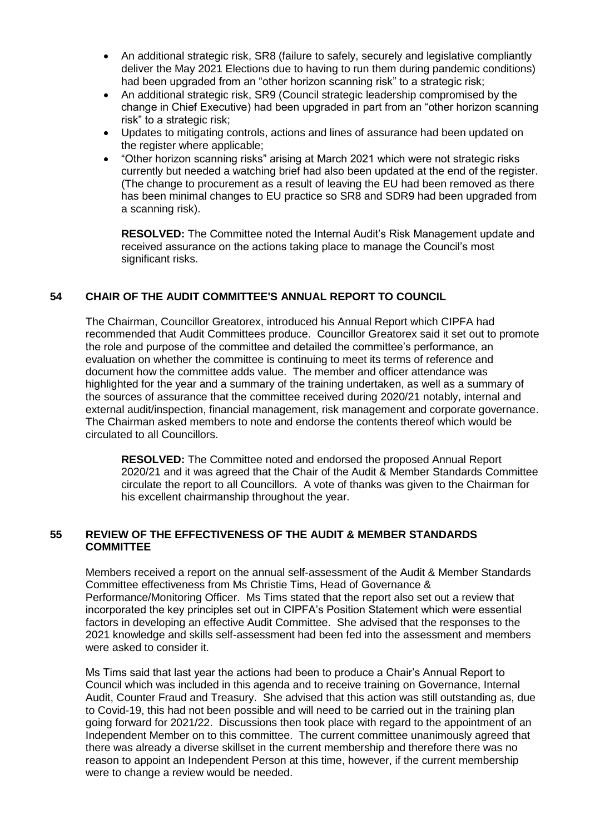- An additional strategic risk, SR8 (failure to safely, securely and legislative compliantly deliver the May 2021 Elections due to having to run them during pandemic conditions) had been upgraded from an "other horizon scanning risk" to a strategic risk;
- An additional strategic risk, SR9 (Council strategic leadership compromised by the change in Chief Executive) had been upgraded in part from an "other horizon scanning risk" to a strategic risk;
- Updates to mitigating controls, actions and lines of assurance had been updated on the register where applicable;
- "Other horizon scanning risks" arising at March 2021 which were not strategic risks currently but needed a watching brief had also been updated at the end of the register. (The change to procurement as a result of leaving the EU had been removed as there has been minimal changes to EU practice so SR8 and SDR9 had been upgraded from a scanning risk).

**RESOLVED:** The Committee noted the Internal Audit's Risk Management update and received assurance on the actions taking place to manage the Council's most significant risks.

## **54 CHAIR OF THE AUDIT COMMITTEE'S ANNUAL REPORT TO COUNCIL**

The Chairman, Councillor Greatorex, introduced his Annual Report which CIPFA had recommended that Audit Committees produce. Councillor Greatorex said it set out to promote the role and purpose of the committee and detailed the committee's performance, an evaluation on whether the committee is continuing to meet its terms of reference and document how the committee adds value. The member and officer attendance was highlighted for the year and a summary of the training undertaken, as well as a summary of the sources of assurance that the committee received during 2020/21 notably, internal and external audit/inspection, financial management, risk management and corporate governance. The Chairman asked members to note and endorse the contents thereof which would be circulated to all Councillors.

**RESOLVED:** The Committee noted and endorsed the proposed Annual Report 2020/21 and it was agreed that the Chair of the Audit & Member Standards Committee circulate the report to all Councillors. A vote of thanks was given to the Chairman for his excellent chairmanship throughout the year.

## **55 REVIEW OF THE EFFECTIVENESS OF THE AUDIT & MEMBER STANDARDS COMMITTEE**

Members received a report on the annual self-assessment of the Audit & Member Standards Committee effectiveness from Ms Christie Tims, Head of Governance & Performance/Monitoring Officer. Ms Tims stated that the report also set out a review that incorporated the key principles set out in CIPFA's Position Statement which were essential factors in developing an effective Audit Committee. She advised that the responses to the 2021 knowledge and skills self-assessment had been fed into the assessment and members were asked to consider it.

Ms Tims said that last year the actions had been to produce a Chair's Annual Report to Council which was included in this agenda and to receive training on Governance, Internal Audit, Counter Fraud and Treasury. She advised that this action was still outstanding as, due to Covid-19, this had not been possible and will need to be carried out in the training plan going forward for 2021/22. Discussions then took place with regard to the appointment of an Independent Member on to this committee. The current committee unanimously agreed that there was already a diverse skillset in the current membership and therefore there was no reason to appoint an Independent Person at this time, however, if the current membership were to change a review would be needed.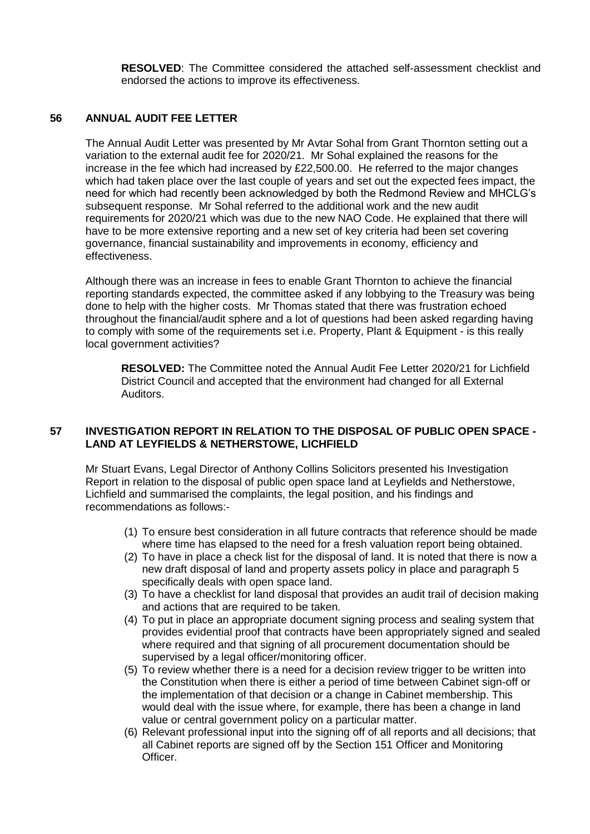**RESOLVED**: The Committee considered the attached self-assessment checklist and endorsed the actions to improve its effectiveness.

### **56 ANNUAL AUDIT FEE LETTER**

The Annual Audit Letter was presented by Mr Avtar Sohal from Grant Thornton setting out a variation to the external audit fee for 2020/21. Mr Sohal explained the reasons for the increase in the fee which had increased by £22,500.00. He referred to the major changes which had taken place over the last couple of years and set out the expected fees impact, the need for which had recently been acknowledged by both the Redmond Review and MHCLG's subsequent response. Mr Sohal referred to the additional work and the new audit requirements for 2020/21 which was due to the new NAO Code. He explained that there will have to be more extensive reporting and a new set of key criteria had been set covering governance, financial sustainability and improvements in economy, efficiency and effectiveness.

Although there was an increase in fees to enable Grant Thornton to achieve the financial reporting standards expected, the committee asked if any lobbying to the Treasury was being done to help with the higher costs. Mr Thomas stated that there was frustration echoed throughout the financial/audit sphere and a lot of questions had been asked regarding having to comply with some of the requirements set i.e. Property, Plant & Equipment - is this really local government activities?

**RESOLVED:** The Committee noted the Annual Audit Fee Letter 2020/21 for Lichfield District Council and accepted that the environment had changed for all External Auditors.

## **57 INVESTIGATION REPORT IN RELATION TO THE DISPOSAL OF PUBLIC OPEN SPACE - LAND AT LEYFIELDS & NETHERSTOWE, LICHFIELD**

Mr Stuart Evans, Legal Director of Anthony Collins Solicitors presented his Investigation Report in relation to the disposal of public open space land at Leyfields and Netherstowe, Lichfield and summarised the complaints, the legal position, and his findings and recommendations as follows:-

- (1) To ensure best consideration in all future contracts that reference should be made where time has elapsed to the need for a fresh valuation report being obtained.
- (2) To have in place a check list for the disposal of land. It is noted that there is now a new draft disposal of land and property assets policy in place and paragraph 5 specifically deals with open space land.
- (3) To have a checklist for land disposal that provides an audit trail of decision making and actions that are required to be taken.
- (4) To put in place an appropriate document signing process and sealing system that provides evidential proof that contracts have been appropriately signed and sealed where required and that signing of all procurement documentation should be supervised by a legal officer/monitoring officer.
- (5) To review whether there is a need for a decision review trigger to be written into the Constitution when there is either a period of time between Cabinet sign-off or the implementation of that decision or a change in Cabinet membership. This would deal with the issue where, for example, there has been a change in land value or central government policy on a particular matter.
- (6) Relevant professional input into the signing off of all reports and all decisions; that all Cabinet reports are signed off by the Section 151 Officer and Monitoring Officer.